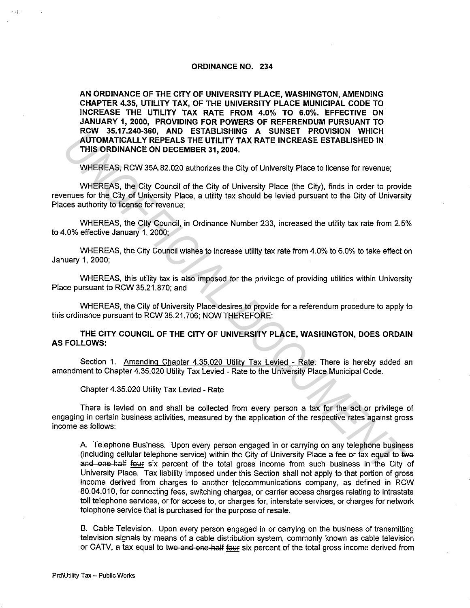## **ORDINANCE NO. 234**

**AN ORDINANCE OF THE CITY OF UNIVERSITY PLACE, WASHINGTON, AMENDING CHAPTER 4.35, UTILITY TAX, OF THE UNIVERSITY PLACE MUNICIPAL CODE TO INCREASE THE UTILITY TAX RATE FROM 4.0% TO 6.0%. EFFECTIVE ON JANUARY 1, 2000, PROVIDING FOR POWERS OF REFERENDUM PURSUANT TO RCW 35.17.240-360, AND ESTABLISHING A SUNSET PROVISION WHICH AUTOMATICALLY REPEALS THE UTILITY TAX RATE INCREASE ESTABLISHED IN THIS ORDINANCE ON DECEMBER 31, 2004.** 

WHEREAS, RCW 35A.82.020 authorizes the City of University Place to license for revenue;

WHEREAS, the City Council of the City of University Place (the City), finds in order to provide revenues for the City of University Place, a utility tax should be levied pursuant to the City of University Places authority to license for revenue;

WHEREAS, the City Council, in Ordinance Number 233, increased the utility tax rate from 2.5% to 4.0% effective January 1, 2000;

WHEREAS, the City Council wishes to increase utility tax rate from 4.0% to 6.0% to take effect on January 1, 2000;

WHEREAS, this utility tax is also imposed for the privilege of providing utilities within University Place pursuant to RCW 35.21.870; and

WHEREAS, the City of University Place desires to provide for a referendum procedure to apply to this ordinance pursuant to RCW 35.21.706; NOW THEREFORE:

**THE CITY COUNCIL OF THE CITY OF UNIVERSITY PLACE, WASHINGTON, DOES ORDAIN AS FOLLOWS:** 

Section 1. Amending Chapter 4.35.020 Utility Tax Levied - Rate. There is hereby added an amendment to Chapter 4.35.020 Utility Tax Levied - Rate to the University Place Municipal Code.

Chapter 4.35.020 Utility Tax Levied - Rate

There is levied on and shall be collected from every person a tax for the act or privilege of engaging in certain business activities, measured by the application of the respective rates against gross income as follows:

A. Telephone Business. Upon every person engaged in or carrying on any telephone business (including cellular telephone service) within the City of University Place a fee or tax equal to two and one half four six percent of the total gross income from such business in the City of University Place. Tax liability imposed under this Section shall not apply to that portion of gross income derived from charges to another telecommunications company, as defined in RCW 80.04.010, for connecting fees, switching charges, or carrier access charges relating to intrastate toll telephone services, or for access to, or charges for, interstate services, or charges for network telephone service that is purchased for the purpose of resale. **NUTOMATICALLY REPEALS THE UTILITY TAX RATE INCREASE ESTABLISHED IN<br>
THIS ORDINANCE ON DECEMBER 31, 2004.**<br>
WHEREAS, RCW 35A 82.020 authorizes the City of University Place to license for revenue;<br>
WHEREAS, the City of Univ

B. Cable Television. Upon every person engaged in or carrying on the business of transmitting television signals by means of a cable distribution system, commonly known as cable television or CATV, a tax equal to two and one half four six percent of the total gross income derived from

urtik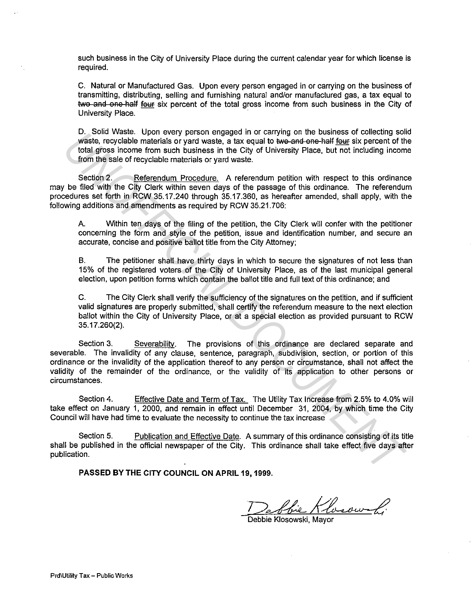such business in the City of University Place during the current calendar year for which license is required.

C. Natural or Manufactured Gas. Upon every person engaged in or carrying on the business of transmitting, distributing, selling and furnishing natural and/or manufactured gas, a tax equal to two and one-half four six percent of the total gross income from such business in the City of University Place.

D. Solid Waste. Upon every person engaged in or carrying on the business of collecting solid waste, recyclable materials or yard waste, a tax equal to two and one half four six percent of the total gross income from such business in the City of University Place, but not including income from the sale of recyclable materials or yard waste.

Section 2. Referendum Procedure. A referendum petition with respect to this ordinance may be filed with the City Clerk within seven days of the passage of this ordinance. The referendum procedures set forth in RCW 35.17.240 through 35.17.360, as hereafter amended, shall apply, with the following additions and amendments as required by RCW 35.21. 706:

A. Within ten days of the filing of the petition, the City Clerk will confer with the petitioner concerning the form and style of the petition, issue and identification number, and secure an accurate, concise and positive ballot title from the City Attorney;

B. The petitioner shall have thirty days in which to secure the signatures of not less than 15% of the registered voters of the City of University Place, as of the last municipal general election, upon petition forms which contain the ballot title and full text of this ordinance; and

C. The City Clerk shall verify the sufficiency of the signatures on the petition, and if sufficient valid signatures are properly submitted, shall certify the referendum measure to the next election ballot within the City of University Place, or at a special election as provided pursuant to RCW 35.17 .260(2).

Section 3. Severability. The provisions of this ordinance are declared separate and severable. The invalidity of any clause, sentence, paragraph, subdivision, section, or portion of this ordinance or the invalidity of the application thereof to any person or circumstance, shall not affect the validity of the remainder of the ordinance, or the validity of its application to other persons or circumstances. U. Solut Waste. Open every person lengage in for carrying on the bustness of collecting solution<br>waste, recyclable materials or yard waste, a tax equal to **we**-and-9me-half <u>four</u> six precent of the<br>form the sai core form

Section 4. Effective Date and Term of Tax. The Utility Tax Increase from 2.5% to 4.0% will take effect on January 1, 2000, and remain in effect until December 31, 2004, by which time the City Council will have had time to evaluate the necessity to continue the tax increase

Section 5. Publication and Effective Date. A summary of this ordinance consisting of its title shall be published in the official newspaper of the City. This ordinance shall take effect five days after publication.

**PASSED BY THE CITY COUNCIL ON APRIL 19, 1999.** 

Debbie Klosowski, Mayor